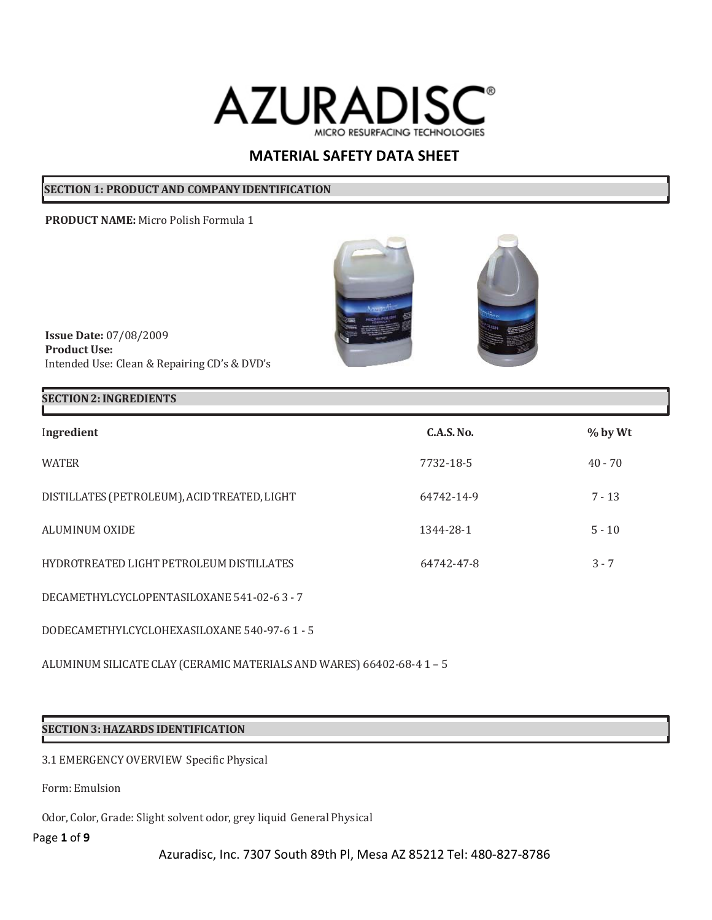

## **SECTION 1: PRODUCT AND COMPANY IDENTIFICATION**

**PRODUCT NAME:** Micro Polish Formula 1



**Issue Date:** 07/08/2009 **Product Use:** Intended Use: Clean & Repairing CD's & DVD's

### **SECTION2:INGREDIENTS**

| Ingredient                                   | <b>C.A.S. No.</b> | % by Wt   |
|----------------------------------------------|-------------------|-----------|
| <b>WATER</b>                                 | 7732-18-5         | $40 - 70$ |
| DISTILLATES (PETROLEUM), ACID TREATED, LIGHT | 64742-14-9        | $7 - 13$  |
| ALUMINUM OXIDE                               | 1344-28-1         | $5 - 10$  |
| HYDROTREATED LIGHT PETROLEUM DISTILLATES     | 64742-47-8        | $3 - 7$   |
|                                              |                   |           |

DECAMETHYLCYCLOPENTASILOXANE 541-02-6 3 - 7

DODECAMETHYLCYCLOHEXASILOXANE 540-97-6 1 - 5

ALUMINUM SILICATE CLAY (CERAMIC MATERIALSAND WARES) 66402-68-4 1 – 5

## **SECTION3: HAZARDS IDENTIFICATION**

3.1 EMERGENCYOVERVIEW Specific Physical

Form: Emulsion

Odor, Color, Grade: Slight solvent odor, grey liquid General Physical

## Page **1** of **9**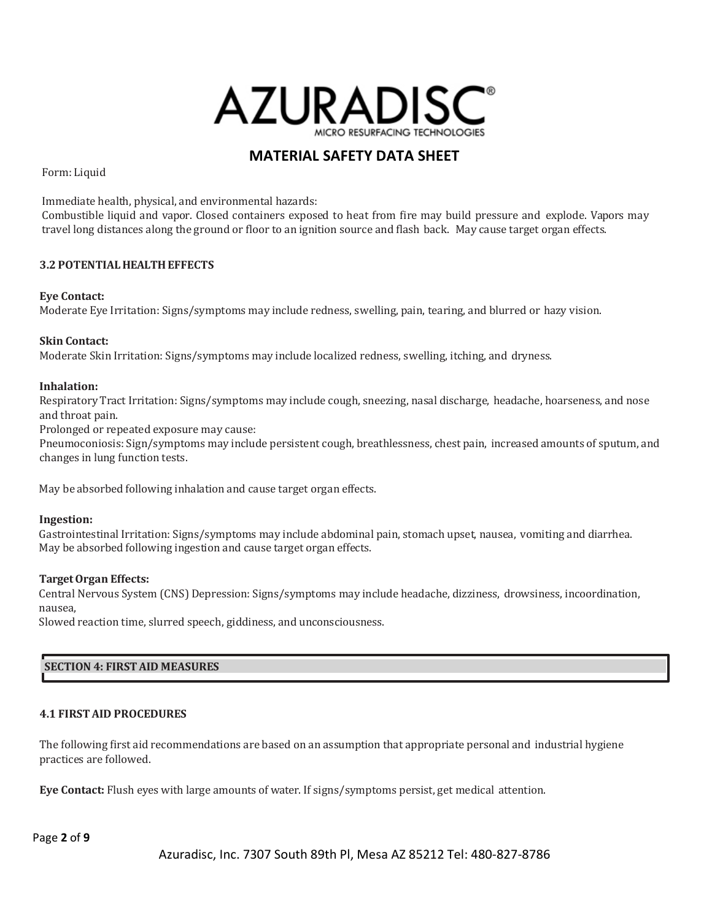

Form: Liquid

Immediate health, physical, and environmental hazards:

Combustible liquid and vapor. Closed containers exposed to heat from fire may build pressure and explode. Vapors may travel long distances along the ground or floor to an ignition source and flash back. May cause target organ effects.

### **3.2 POTENTIALHEALTHEFFECTS**

### **Eye Contact:**

Moderate Eye Irritation: Signs/symptoms may include redness, swelling, pain, tearing, and blurred or hazy vision.

### **Skin Contact:**

Moderate Skin Irritation: Signs/symptoms may include localized redness, swelling, itching, and dryness.

#### **Inhalation:**

Respiratory Tract Irritation: Signs/symptoms may include cough, sneezing, nasal discharge, headache, hoarseness, and nose and throat pain.

Prolonged or repeated exposure may cause:

Pneumoconiosis: Sign/symptoms may include persistent cough, breathlessness, chest pain, increased amounts of sputum, and changes in lung function tests.

May be absorbed following inhalation and cause target organ effects.

#### **Ingestion:**

Gastrointestinal Irritation: Signs/symptoms may include abdominal pain, stomach upset, nausea, vomiting and diarrhea. May be absorbed following ingestion and cause target organ effects.

#### **Target Organ Effects:**

Central Nervous System (CNS) Depression: Signs/symptoms may include headache, dizziness, drowsiness, incoordination, nausea,

Slowed reaction time, slurred speech, giddiness, and unconsciousness.

## **SECTION 4: FIRSTAID MEASURES**

## **4.1 FIRSTAID PROCEDURES**

The following first aid recommendations are based on an assumption that appropriate personal and industrial hygiene practices are followed.

**Eye Contact:** Flush eyes with large amounts of water. If signs/symptoms persist, get medical attention.

Page **2** of **9**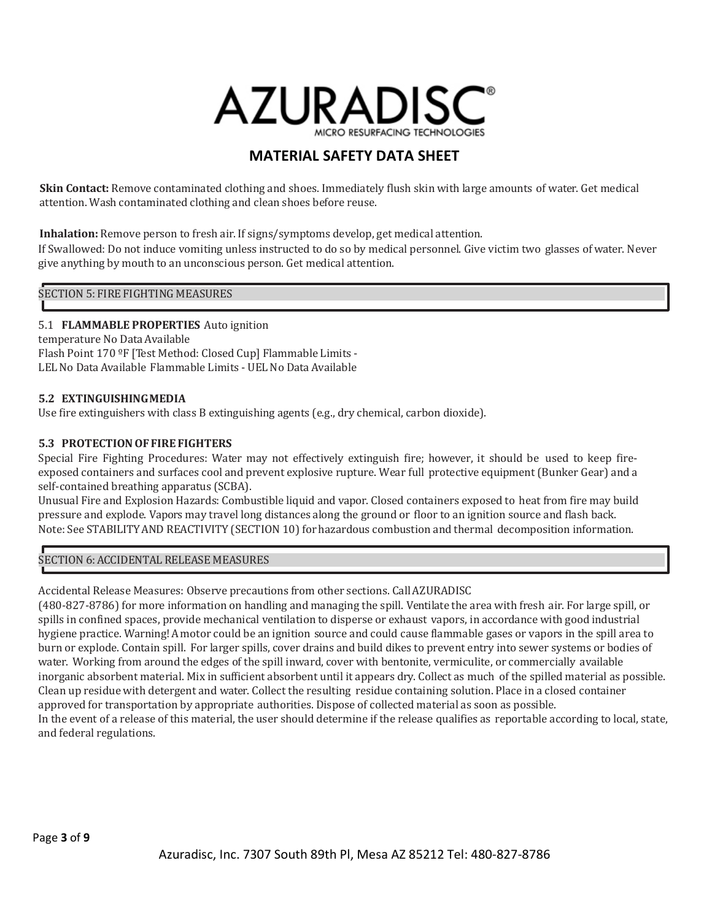

**Skin Contact:** Remove contaminated clothing and shoes. Immediately flush skin with large amounts of water. Get medical attention. Wash contaminated clothing and clean shoes before reuse.

**Inhalation:** Remove person to fresh air. If signs/symptoms develop, get medical attention. If Swallowed: Do not induce vomiting unless instructed to do so by medical personnel. Give victim two glasses of water. Never give anything by mouth to an unconscious person. Get medical attention.

## SECTION 5: FIRE FIGHTING MEASURES

## 5.1 **FLAMMABLE PROPERTIES** Auto ignition

temperature No Data Available Flash Point 170 ºF [Test Method: Closed Cup] Flammable Limits - LELNo DataAvailable Flammable Limits - UELNo DataAvailable

#### **5.2 EXTINGUISHINGMEDIA**

Use fire extinguishers with class B extinguishing agents (e.g., dry chemical, carbon dioxide).

### **5.3 PROTECTIONOF FIREFIGHTERS**

Special Fire Fighting Procedures: Water may not effectively extinguish fire; however, it should be used to keep fireexposed containers and surfaces cool and prevent explosive rupture. Wear full protective equipment (Bunker Gear) and a self-contained breathing apparatus (SCBA).

Unusual Fire and Explosion Hazards: Combustible liquid and vapor. Closed containers exposed to heat from fire may build pressure and explode. Vapors may travel long distances along the ground or floor to an ignition source and flash back. Note: See STABILITY AND REACTIVITY (SECTION 10) for hazardous combustion and thermal decomposition information.

## SECTION 6: ACCIDENTAL RELEASE MEASURES

Accidental Release Measures: Observe precautions from other sections. CallAZURADISC

(480-827-8786) for more information on handling and managing the spill. Ventilate the area with fresh air. For large spill, or spills in confined spaces, provide mechanical ventilation to disperse or exhaust vapors, in accordance with good industrial hygiene practice. Warning!A motor could be an ignition source and could cause flammable gases or vapors in the spill area to burn or explode. Contain spill. For larger spills, cover drains and build dikes to prevent entry into sewer systems or bodies of water. Working from around the edges of the spill inward, cover with bentonite, vermiculite, or commercially available inorganic absorbent material. Mix in sufficient absorbent until it appears dry. Collect as much of the spilled material as possible. Clean up residue with detergent and water. Collect the resulting residue containing solution. Place in a closed container approved for transportation by appropriate authorities. Dispose of collected material as soon as possible.

In the event of a release of this material, the user should determine if the release qualifies as reportable according to local, state, and federal regulations.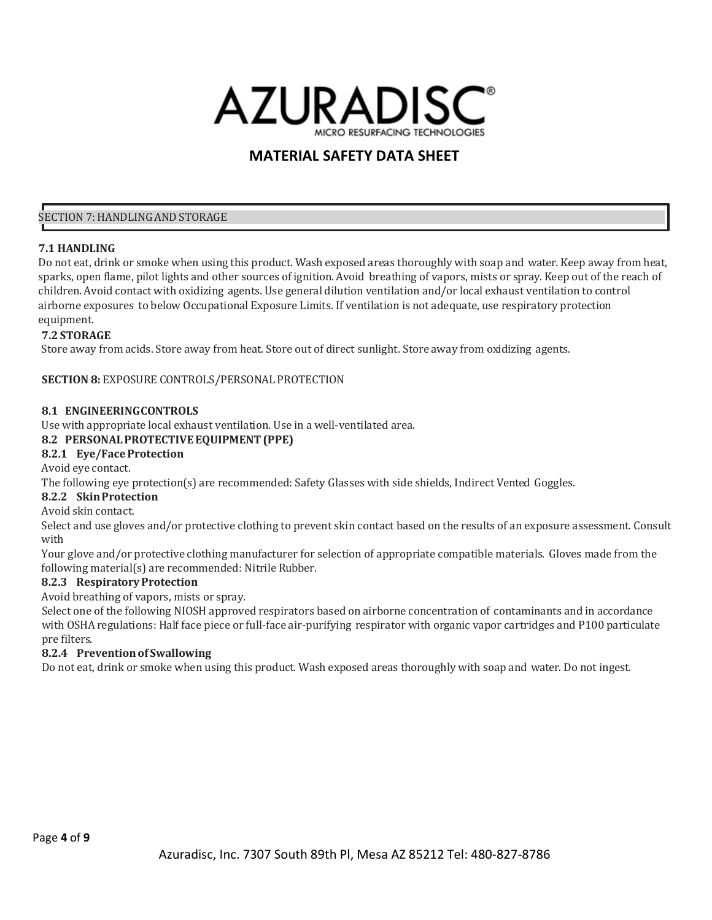

## SECTION 7: HANDLING AND STORAGE

## **7.1 HANDLING**

Do not eat, drink or smoke when using this product. Wash exposed areas thoroughly with soap and water. Keep away from heat, sparks, open flame, pilot lights and other sources of ignition.Avoid breathing of vapors, mists or spray. Keep out of the reach of children.Avoid contact with oxidizing agents. Use general dilution ventilation and/or local exhaust ventilation to control airborne exposures to below Occupational Exposure Limits. If ventilation is not adequate, use respiratory protection equipment.

### **7.2STORAGE**

Store away from acids. Store away from heat. Store out of direct sunlight. Store away from oxidizing agents.

#### **SECTION 8:** EXPOSURE CONTROLS/PERSONALPROTECTION

#### **8.1 ENGINEERINGCONTROLS**

Use with appropriate local exhaust ventilation. Use in a well-ventilated area.

## **8.2 PERSONALPROTECTIVEEQUIPMENT(PPE)**

**8.2.1 Eye/FaceProtection**

Avoid eye contact.

The following eye protection(s) are recommended: Safety Glasses with side shields, Indirect Vented Goggles.

### **8.2.2 SkinProtection**

#### Avoid skin contact.

Select and use gloves and/or protective clothing to prevent skin contact based on the results of an exposure assessment. Consult with

Your glove and/or protective clothing manufacturer for selection of appropriate compatible materials. Gloves made from the following material(s) are recommended: Nitrile Rubber.

#### **8.2.3 RespiratoryProtection**

Avoid breathing of vapors, mists or spray.

Select one of the following NIOSH approved respirators based on airborne concentration of contaminants and in accordance with OSHA regulations: Half face piece or full-face air-purifying respirator with organic vapor cartridges and P100 particulate pre filters.

#### **8.2.4 Preventionof Swallowing**

Do not eat, drink or smoke when using this product. Wash exposed areas thoroughly with soap and water. Do not ingest.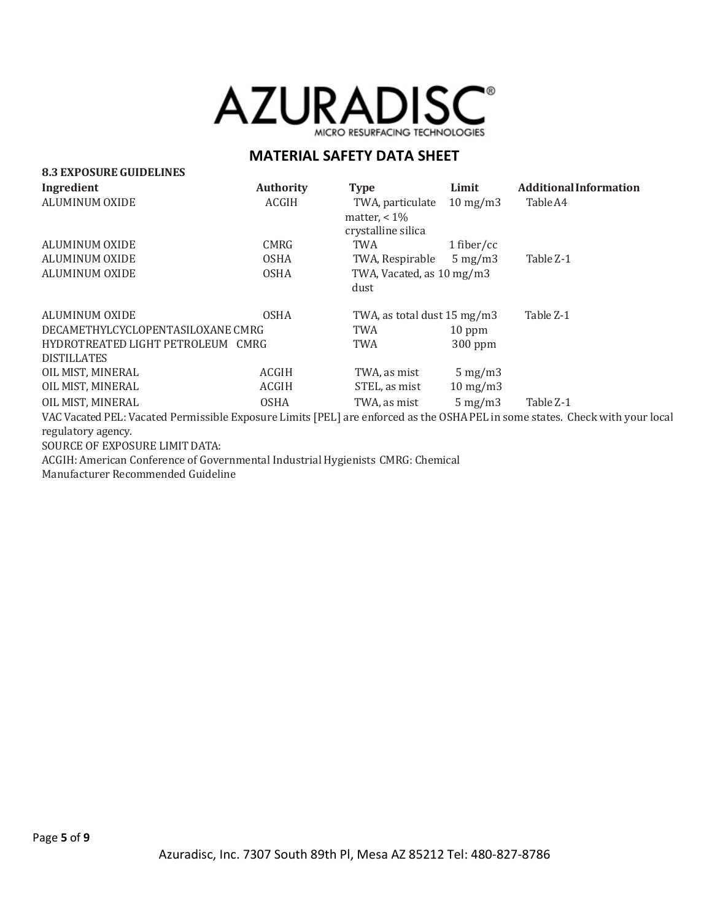

| Ingredient                        | <b>Authority</b> | <b>Type</b>                 | Limit                 | <b>Additional Information</b> |
|-----------------------------------|------------------|-----------------------------|-----------------------|-------------------------------|
| ALUMINUM OXIDE                    | ACGIH            | TWA, particulate            | $10 \,\mathrm{mg/m3}$ | Table A4                      |
|                                   |                  | matter, $< 1\%$             |                       |                               |
|                                   |                  | crystalline silica          |                       |                               |
| ALUMINUM OXIDE                    | CMRG             | TWA                         | 1 fiber/cc            |                               |
| ALUMINUM OXIDE                    | <b>OSHA</b>      | TWA, Respirable             | $5 \text{ mg/m}$      | Table Z-1                     |
| ALUMINUM OXIDE                    | <b>OSHA</b>      | TWA, Vacated, as 10 mg/m3   |                       |                               |
|                                   |                  | dust                        |                       |                               |
| ALUMINUM OXIDE                    | <b>OSHA</b>      | TWA, as total dust 15 mg/m3 |                       | Table Z-1                     |
| DECAMETHYLCYCLOPENTASILOXANE CMRG |                  | TWA                         | $10$ ppm              |                               |
| HYDROTREATED LIGHT PETROLEUM CMRG |                  | TWA                         | $300$ ppm             |                               |
| <b>DISTILLATES</b>                |                  |                             |                       |                               |
| OIL MIST, MINERAL                 | <b>ACGIH</b>     | TWA, as mist                | $5 \text{ mg/m}$      |                               |
| OIL MIST, MINERAL                 | ACGIH            | STEL, as mist               | $10 \text{ mg/m}$     |                               |
| OIL MIST, MINERAL                 | <b>OSHA</b>      | TWA, as mist                | $5 \text{ mg/m}$      | Table Z-1                     |
| $\mathbf{v}$                      | TI LEDELT        |                             |                       |                               |

VAC Vacated PEL: Vacated Permissible Exposure Limits [PEL] are enforced as the OSHAPEL in some states. Check with your local regulatory agency.

SOURCE OF EXPOSURE LIMIT DATA:

**8.3 EXPOSUREGUIDELINES**

ACGIH: American Conference of Governmental Industrial Hygienists CMRG: Chemical

Manufacturer Recommended Guideline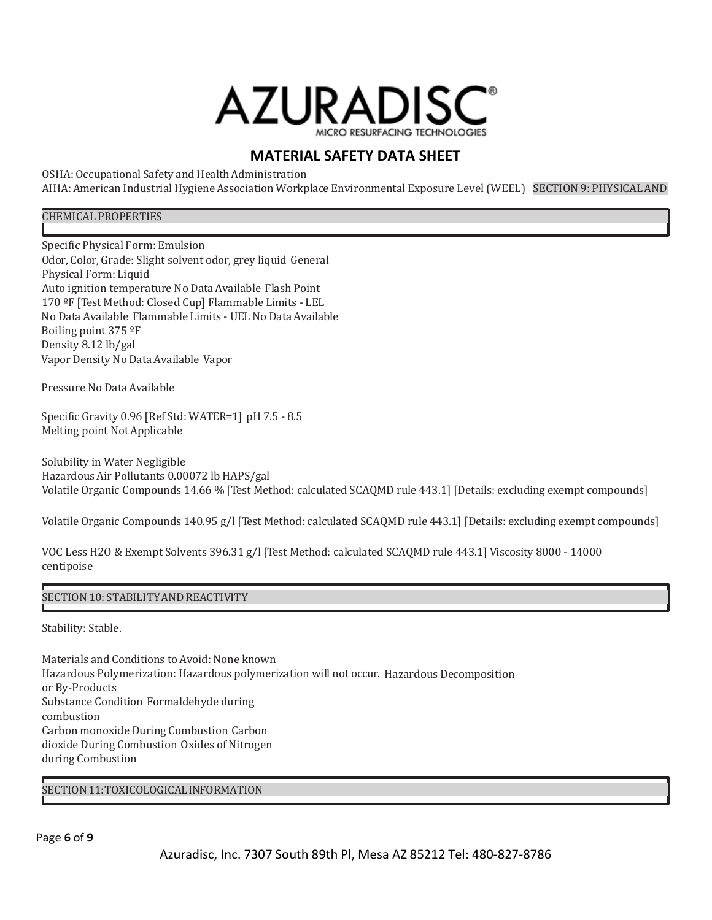

OSHA: Occupational Safety and Health Administration AIHA:American Industrial HygieneAssociation Workplace Environmental Exposure Level (WEEL) SECTION 9: PHYSICALAND

### CHEMICALPROPERTIES

Specific Physical Form: Emulsion Odor, Color, Grade: Slight solvent odor, grey liquid General Physical Form: Liquid Auto ignition temperature No Data Available Flash Point 170 ºF [Test Method: Closed Cup] Flammable Limits - LEL No DataAvailable Flammable Limits - UELNo DataAvailable Boiling point 375 ºF Density 8.12 lb/gal Vapor Density No DataAvailable Vapor

Pressure No Data Available

Specific Gravity 0.96 [Ref Std: WATER=1] pH 7.5 - 8.5 Melting point NotApplicable

Solubility in Water Negligible HazardousAir Pollutants 0.00072 lb HAPS/gal Volatile Organic Compounds 14.66 % [Test Method: calculated SCAQMD rule 443.1] [Details: excluding exempt compounds]

Volatile Organic Compounds 140.95 g/l [Test Method: calculated SCAQMD rule 443.1] [Details: excluding exempt compounds]

VOC Less H2O & Exempt Solvents 396.31 g/l [Test Method: calculated SCAQMD rule 443.1] Viscosity 8000 - 14000 centipoise

## SECTION 10: STABILITY AND REACTIVITY

Stability: Stable.

Materials and Conditions to Avoid: None known Hazardous Polymerization: Hazardous polymerization will not occur. Hazardous Decomposition or By-Products Substance Condition Formaldehyde during combustion Carbon monoxide During Combustion Carbon dioxide During Combustion Oxides of Nitrogen during Combustion

**SECTION 11:TOXICOLOGICAL INFORMATION**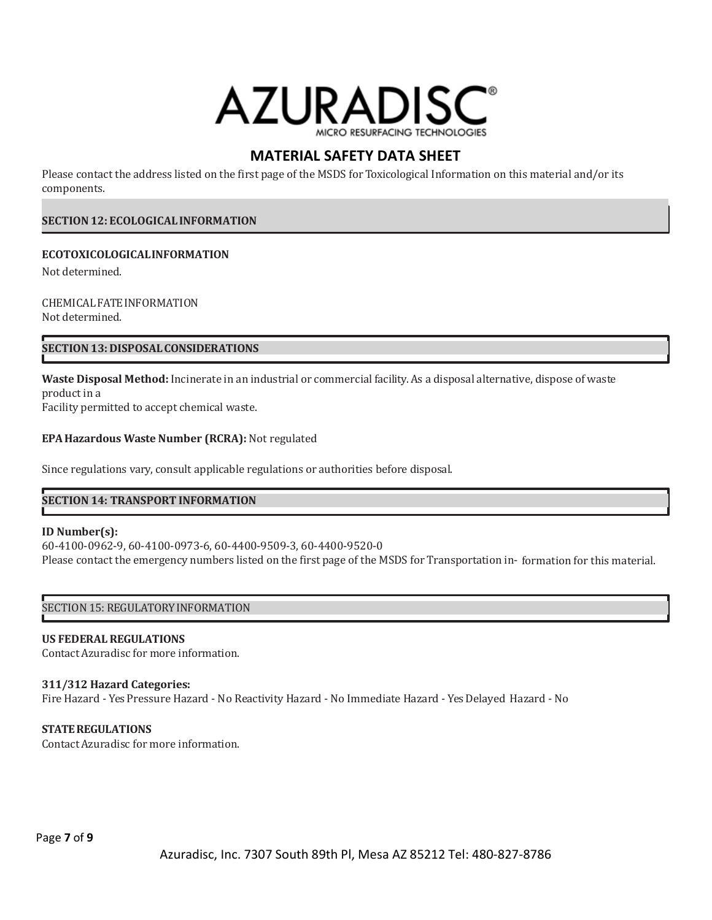

Please contact the address listed on the first page of the MSDS for Toxicological Information on this material and/or its components.

#### **SECTION12: ECOLOGICALINFORMATION**

#### **ECOTOXICOLOGICALINFORMATION**

Not determined.

CHEMICALFATEINFORMATION Not determined.

#### **SECTION13: DISPOSALCONSIDERATIONS**

**Waste Disposal Method:** Incinerate in an industrial or commercial facility.As a disposal alternative, dispose of waste product in a

Facility permitted to accept chemical waste.

#### **EPAHazardous Waste Number (RCRA):** Not regulated

Since regulations vary, consult applicable regulations or authorities before disposal.

#### **SECTION 14: TRANSPORT INFORMATION**

#### **ID Number(s):**

60-4100-0962-9, 60-4100-0973-6, 60-4400-9509-3, 60-4400-9520-0 Please contact the emergency numbers listed on the first page of the MSDS for Transportation in- formation for this material.

#### SECTION 15: REGULATORYINFORMATION

### **US FEDERALREGULATIONS**

ContactAzuradisc for more information.

#### **311/312 Hazard Categories:**

Fire Hazard - Yes Pressure Hazard - No Reactivity Hazard - No Immediate Hazard - YesDelayed Hazard - No

#### **STATEREGULATIONS**

ContactAzuradisc for more information.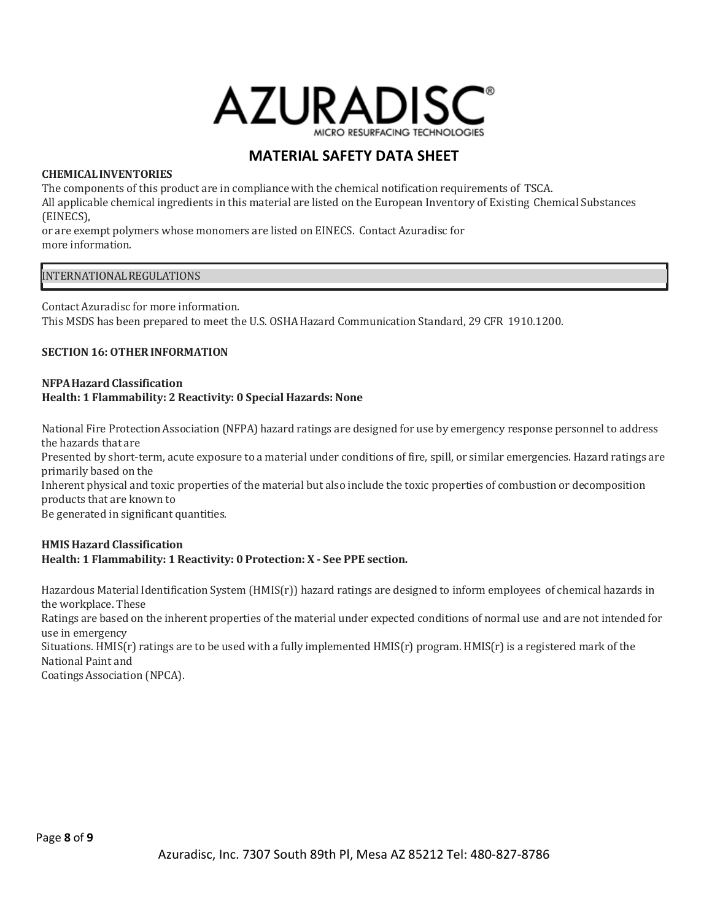

#### **CHEMICALINVENTORIES**

The components of this product are in compliance with the chemical notification requirements of TSCA. All applicable chemical ingredients in this material are listed on the European Inventory of Existing Chemical Substances (EINECS),

or are exempt polymers whose monomers are listed on EINECS. Contact Azuradisc for more information.

### INTERNATIONALREGULATIONS

ContactAzuradisc for more information. This MSDS has been prepared to meet the U.S. OSHAHazard Communication Standard, 29 CFR 1910.1200.

### **SECTION 16: OTHERINFORMATION**

## **NFPAHazard Classification Health: 1 Flammability: 2 Reactivity: 0 Special Hazards: None**

National Fire Protection Association (NFPA) hazard ratings are designed for use by emergency response personnel to address the hazards that are

Presented by short-term, acute exposure to a material under conditions of fire, spill, or similar emergencies. Hazard ratings are primarily based on the

Inherent physical and toxic properties of the material but also include the toxic properties of combustion or decomposition products that are known to

Be generated in significant quantities.

## **HMIS Hazard Classification Health: 1 Flammability: 1 Reactivity: 0 Protection: X - See PPE section.**

Hazardous Material Identification System (HMIS(r)) hazard ratings are designed to inform employees of chemical hazards in the workplace. These Ratings are based on the inherent properties of the material under expected conditions of normal use and are not intended for use in emergency Situations. HMIS(r) ratings are to be used with a fully implemented  $HMIS(r)$  program. HMIS(r) is a registered mark of the National Paint and CoatingsAssociation (NPCA).